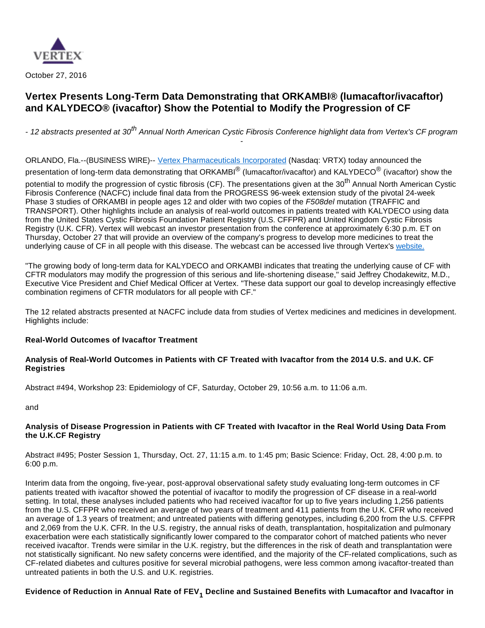

October 27, 2016

# **Vertex Presents Long-Term Data Demonstrating that ORKAMBI® (lumacaftor/ivacaftor) and KALYDECO® (ivacaftor) Show the Potential to Modify the Progression of CF**

- 12 abstracts presented at 30<sup>th</sup> Annual North American Cystic Fibrosis Conference highlight data from Vertex's CF program -

ORLANDO, Fla.--(BUSINESS WIRE)-- [Vertex Pharmaceuticals Incorporated](http://cts.businesswire.com/ct/CT?id=smartlink&url=http%3A%2F%2Fwww.vrtx.com&esheet=51448334&newsitemid=20161027005917&lan=en-US&anchor=Vertex+Pharmaceuticals+Incorporated&index=1&md5=800a39267e65b78242385846970c36f5) (Nasdaq: VRTX) today announced the presentation of long-term data demonstrating that ORKAMBI® (lumacaftor/ivacaftor) and KALYDECO® (ivacaftor) show the potential to modify the progression of cystic fibrosis (CF). The presentations given at the 30<sup>th</sup> Annual North American Cystic Fibrosis Conference (NACFC) include final data from the PROGRESS 96-week extension study of the pivotal 24-week Phase 3 studies of ORKAMBI in people ages 12 and older with two copies of the F508del mutation (TRAFFIC and TRANSPORT). Other highlights include an analysis of real-world outcomes in patients treated with KALYDECO using data from the United States Cystic Fibrosis Foundation Patient Registry (U.S. CFFPR) and United Kingdom Cystic Fibrosis Registry (U.K. CFR). Vertex will webcast an investor presentation from the conference at approximately 6:30 p.m. ET on Thursday, October 27 that will provide an overview of the company's progress to develop more medicines to treat the underlying cause of CF in all people with this disease. The webcast can be accessed live through Vertex's [website.](http://cts.businesswire.com/ct/CT?id=smartlink&url=http%3A%2F%2Finvestors.vrtx.com%2Fevents.cfm%3Fnav%3Dmedia&esheet=51448334&newsitemid=20161027005917&lan=en-US&anchor=website.&index=2&md5=5e4ef747b897c55a9251f045035e3b94)

"The growing body of long-term data for KALYDECO and ORKAMBI indicates that treating the underlying cause of CF with CFTR modulators may modify the progression of this serious and life-shortening disease," said Jeffrey Chodakewitz, M.D., Executive Vice President and Chief Medical Officer at Vertex. "These data support our goal to develop increasingly effective combination regimens of CFTR modulators for all people with CF."

The 12 related abstracts presented at NACFC include data from studies of Vertex medicines and medicines in development. Highlights include:

### **Real-World Outcomes of Ivacaftor Treatment**

## **Analysis of Real-World Outcomes in Patients with CF Treated with Ivacaftor from the 2014 U.S. and U.K. CF Registries**

Abstract #494, Workshop 23: Epidemiology of CF, Saturday, October 29, 10:56 a.m. to 11:06 a.m.

and

## **Analysis of Disease Progression in Patients with CF Treated with Ivacaftor in the Real World Using Data From the U.K.CF Registry**

Abstract #495; Poster Session 1, Thursday, Oct. 27, 11:15 a.m. to 1:45 pm; Basic Science: Friday, Oct. 28, 4:00 p.m. to 6:00 p.m.

Interim data from the ongoing, five-year, post-approval observational safety study evaluating long-term outcomes in CF patients treated with ivacaftor showed the potential of ivacaftor to modify the progression of CF disease in a real-world setting. In total, these analyses included patients who had received ivacaftor for up to five years including 1,256 patients from the U.S. CFFPR who received an average of two years of treatment and 411 patients from the U.K. CFR who received an average of 1.3 years of treatment; and untreated patients with differing genotypes, including 6,200 from the U.S. CFFPR and 2,069 from the U.K. CFR. In the U.S. registry, the annual risks of death, transplantation, hospitalization and pulmonary exacerbation were each statistically significantly lower compared to the comparator cohort of matched patients who never received ivacaftor. Trends were similar in the U.K. registry, but the differences in the risk of death and transplantation were not statistically significant. No new safety concerns were identified, and the majority of the CF-related complications, such as CF-related diabetes and cultures positive for several microbial pathogens, were less common among ivacaftor-treated than untreated patients in both the U.S. and U.K. registries.

### **Evidence of Reduction in Annual Rate of FEV<sup>1</sup> Decline and Sustained Benefits with Lumacaftor and Ivacaftor in**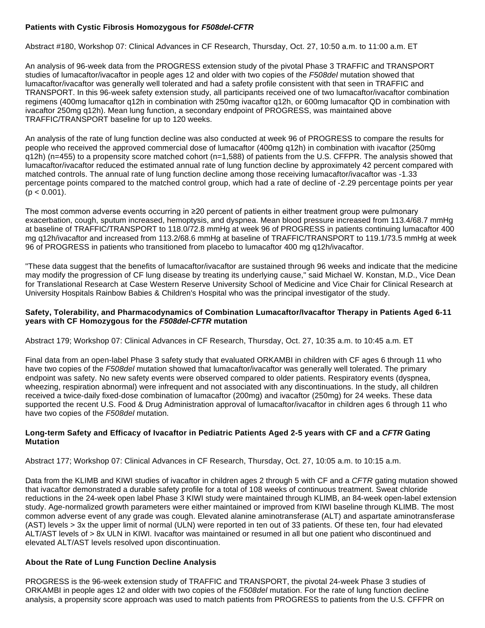## **Patients with Cystic Fibrosis Homozygous for F508del-CFTR**

Abstract #180, Workshop 07: Clinical Advances in CF Research, Thursday, Oct. 27, 10:50 a.m. to 11:00 a.m. ET

An analysis of 96-week data from the PROGRESS extension study of the pivotal Phase 3 TRAFFIC and TRANSPORT studies of lumacaftor/ivacaftor in people ages 12 and older with two copies of the F508del mutation showed that lumacaftor/ivacaftor was generally well tolerated and had a safety profile consistent with that seen in TRAFFIC and TRANSPORT. In this 96-week safety extension study, all participants received one of two lumacaftor/ivacaftor combination regimens (400mg lumacaftor q12h in combination with 250mg ivacaftor q12h, or 600mg lumacaftor QD in combination with ivacaftor 250mg q12h). Mean lung function, a secondary endpoint of PROGRESS, was maintained above TRAFFIC/TRANSPORT baseline for up to 120 weeks.

An analysis of the rate of lung function decline was also conducted at week 96 of PROGRESS to compare the results for people who received the approved commercial dose of lumacaftor (400mg q12h) in combination with ivacaftor (250mg q12h) (n=455) to a propensity score matched cohort (n=1,588) of patients from the U.S. CFFPR. The analysis showed that lumacaftor/ivacaftor reduced the estimated annual rate of lung function decline by approximately 42 percent compared with matched controls. The annual rate of lung function decline among those receiving lumacaftor/ivacaftor was -1.33 percentage points compared to the matched control group, which had a rate of decline of -2.29 percentage points per year  $(p < 0.001)$ .

The most common adverse events occurring in ≥20 percent of patients in either treatment group were pulmonary exacerbation, cough, sputum increased, hemoptysis, and dyspnea. Mean blood pressure increased from 113.4/68.7 mmHg at baseline of TRAFFIC/TRANSPORT to 118.0/72.8 mmHg at week 96 of PROGRESS in patients continuing lumacaftor 400 mg q12h/ivacaftor and increased from 113.2/68.6 mmHg at baseline of TRAFFIC/TRANSPORT to 119.1/73.5 mmHg at week 96 of PROGRESS in patients who transitioned from placebo to lumacaftor 400 mg q12h/ivacaftor.

"These data suggest that the benefits of lumacaftor/ivacaftor are sustained through 96 weeks and indicate that the medicine may modify the progression of CF lung disease by treating its underlying cause," said Michael W. Konstan, M.D., Vice Dean for Translational Research at Case Western Reserve University School of Medicine and Vice Chair for Clinical Research at University Hospitals Rainbow Babies & Children's Hospital who was the principal investigator of the study.

### **Safety, Tolerability, and Pharmacodynamics of Combination Lumacaftor/Ivacaftor Therapy in Patients Aged 6-11 years with CF Homozygous for the F508del-CFTR mutation**

Abstract 179; Workshop 07: Clinical Advances in CF Research, Thursday, Oct. 27, 10:35 a.m. to 10:45 a.m. ET

Final data from an open-label Phase 3 safety study that evaluated ORKAMBI in children with CF ages 6 through 11 who have two copies of the F508del mutation showed that lumacaftor/ivacaftor was generally well tolerated. The primary endpoint was safety. No new safety events were observed compared to older patients. Respiratory events (dyspnea, wheezing, respiration abnormal) were infrequent and not associated with any discontinuations. In the study, all children received a twice-daily fixed-dose combination of lumacaftor (200mg) and ivacaftor (250mg) for 24 weeks. These data supported the recent U.S. Food & Drug Administration approval of lumacaftor/ivacaftor in children ages 6 through 11 who have two copies of the F508del mutation.

## **Long-term Safety and Efficacy of Ivacaftor in Pediatric Patients Aged 2-5 years with CF and a CFTR Gating Mutation**

Abstract 177; Workshop 07: Clinical Advances in CF Research, Thursday, Oct. 27, 10:05 a.m. to 10:15 a.m.

Data from the KLIMB and KIWI studies of ivacaftor in children ages 2 through 5 with CF and a CFTR gating mutation showed that ivacaftor demonstrated a durable safety profile for a total of 108 weeks of continuous treatment. Sweat chloride reductions in the 24-week open label Phase 3 KIWI study were maintained through KLIMB, an 84-week open-label extension study. Age-normalized growth parameters were either maintained or improved from KIWI baseline through KLIMB. The most common adverse event of any grade was cough. Elevated alanine aminotransferase (ALT) and aspartate aminotransferase (AST) levels > 3x the upper limit of normal (ULN) were reported in ten out of 33 patients. Of these ten, four had elevated ALT/AST levels of > 8x ULN in KIWI. Ivacaftor was maintained or resumed in all but one patient who discontinued and elevated ALT/AST levels resolved upon discontinuation.

### **About the Rate of Lung Function Decline Analysis**

PROGRESS is the 96-week extension study of TRAFFIC and TRANSPORT, the pivotal 24-week Phase 3 studies of ORKAMBI in people ages 12 and older with two copies of the F508del mutation. For the rate of lung function decline analysis, a propensity score approach was used to match patients from PROGRESS to patients from the U.S. CFFPR on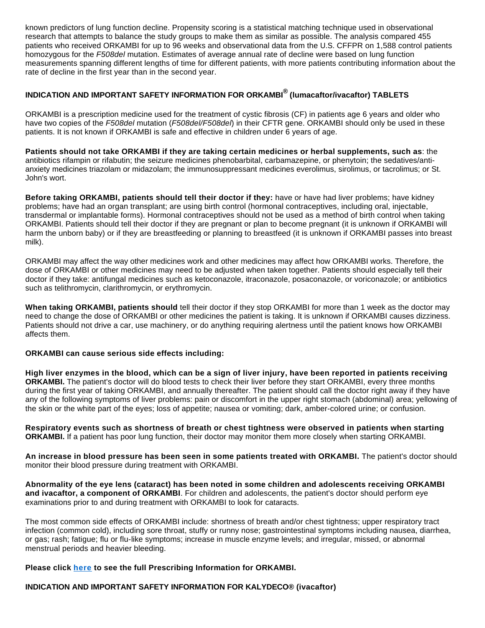known predictors of lung function decline. Propensity scoring is a statistical matching technique used in observational research that attempts to balance the study groups to make them as similar as possible. The analysis compared 455 patients who received ORKAMBI for up to 96 weeks and observational data from the U.S. CFFPR on 1,588 control patients homozygous for the F508del mutation. Estimates of average annual rate of decline were based on lung function measurements spanning different lengths of time for different patients, with more patients contributing information about the rate of decline in the first year than in the second year.

## **INDICATION AND IMPORTANT SAFETY INFORMATION FOR ORKAMBI® (lumacaftor/ivacaftor) TABLETS**

ORKAMBI is a prescription medicine used for the treatment of cystic fibrosis (CF) in patients age 6 years and older who have two copies of the F508del mutation (F508del/F508del) in their CFTR gene. ORKAMBI should only be used in these patients. It is not known if ORKAMBI is safe and effective in children under 6 years of age.

**Patients should not take ORKAMBI if they are taking certain medicines or herbal supplements, such as**: the antibiotics rifampin or rifabutin; the seizure medicines phenobarbital, carbamazepine, or phenytoin; the sedatives/antianxiety medicines triazolam or midazolam; the immunosuppressant medicines everolimus, sirolimus, or tacrolimus; or St. John's wort.

**Before taking ORKAMBI, patients should tell their doctor if they:** have or have had liver problems; have kidney problems; have had an organ transplant; are using birth control (hormonal contraceptives, including oral, injectable, transdermal or implantable forms). Hormonal contraceptives should not be used as a method of birth control when taking ORKAMBI. Patients should tell their doctor if they are pregnant or plan to become pregnant (it is unknown if ORKAMBI will harm the unborn baby) or if they are breastfeeding or planning to breastfeed (it is unknown if ORKAMBI passes into breast milk).

ORKAMBI may affect the way other medicines work and other medicines may affect how ORKAMBI works. Therefore, the dose of ORKAMBI or other medicines may need to be adjusted when taken together. Patients should especially tell their doctor if they take: antifungal medicines such as ketoconazole, itraconazole, posaconazole, or voriconazole; or antibiotics such as telithromycin, clarithromycin, or erythromycin.

**When taking ORKAMBI, patients should** tell their doctor if they stop ORKAMBI for more than 1 week as the doctor may need to change the dose of ORKAMBI or other medicines the patient is taking. It is unknown if ORKAMBI causes dizziness. Patients should not drive a car, use machinery, or do anything requiring alertness until the patient knows how ORKAMBI affects them.

### **ORKAMBI can cause serious side effects including:**

**High liver enzymes in the blood, which can be a sign of liver injury, have been reported in patients receiving ORKAMBI.** The patient's doctor will do blood tests to check their liver before they start ORKAMBI, every three months during the first year of taking ORKAMBI, and annually thereafter. The patient should call the doctor right away if they have any of the following symptoms of liver problems: pain or discomfort in the upper right stomach (abdominal) area; yellowing of the skin or the white part of the eyes; loss of appetite; nausea or vomiting; dark, amber-colored urine; or confusion.

**Respiratory events such as shortness of breath or chest tightness were observed in patients when starting ORKAMBI.** If a patient has poor lung function, their doctor may monitor them more closely when starting ORKAMBI.

**An increase in blood pressure has been seen in some patients treated with ORKAMBI.** The patient's doctor should monitor their blood pressure during treatment with ORKAMBI.

**Abnormality of the eye lens (cataract) has been noted in some children and adolescents receiving ORKAMBI and ivacaftor, a component of ORKAMBI**. For children and adolescents, the patient's doctor should perform eye examinations prior to and during treatment with ORKAMBI to look for cataracts.

The most common side effects of ORKAMBI include: shortness of breath and/or chest tightness; upper respiratory tract infection (common cold), including sore throat, stuffy or runny nose; gastrointestinal symptoms including nausea, diarrhea, or gas; rash; fatigue; flu or flu-like symptoms; increase in muscle enzyme levels; and irregular, missed, or abnormal menstrual periods and heavier bleeding.

## **Please click [here](http://cts.businesswire.com/ct/CT?id=smartlink&url=http%3A%2F%2Fpi.vrtx.com%2Ffiles%2Fuspi_lumacaftor_ivacaftor.pdf&esheet=51448334&newsitemid=20161027005917&lan=en-US&anchor=here&index=3&md5=3332f4ba57de68e120f80bbd0fb5f46b) to see the full Prescribing Information for ORKAMBI.**

**INDICATION AND IMPORTANT SAFETY INFORMATION FOR KALYDECO® (ivacaftor)**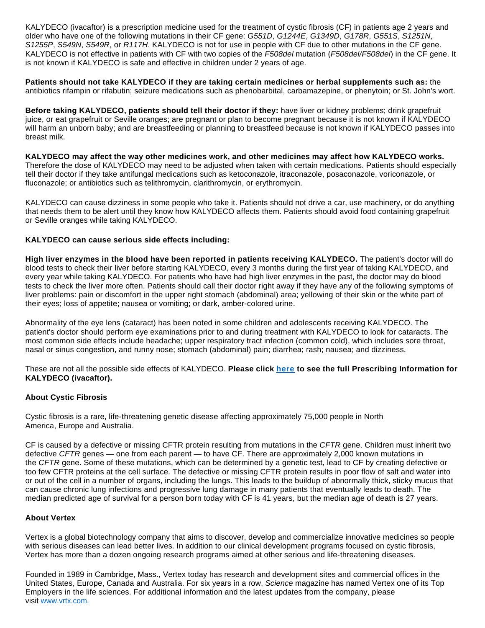KALYDECO (ivacaftor) is a prescription medicine used for the treatment of cystic fibrosis (CF) in patients age 2 years and older who have one of the following mutations in their CF gene: G551D, G1244E, G1349D, G178R, G551S, S1251N, S1255P, S549N, S549R, or R117H. KALYDECO is not for use in people with CF due to other mutations in the CF gene. KALYDECO is not effective in patients with CF with two copies of the F508del mutation (F508del/F508del) in the CF gene. It is not known if KALYDECO is safe and effective in children under 2 years of age.

**Patients should not take KALYDECO if they are taking certain medicines or herbal supplements such as:** the antibiotics rifampin or rifabutin; seizure medications such as phenobarbital, carbamazepine, or phenytoin; or St. John's wort.

**Before taking KALYDECO, patients should tell their doctor if they:** have liver or kidney problems; drink grapefruit juice, or eat grapefruit or Seville oranges; are pregnant or plan to become pregnant because it is not known if KALYDECO will harm an unborn baby; and are breastfeeding or planning to breastfeed because is not known if KALYDECO passes into breast milk.

**KALYDECO may affect the way other medicines work, and other medicines may affect how KALYDECO works.** Therefore the dose of KALYDECO may need to be adjusted when taken with certain medications. Patients should especially tell their doctor if they take antifungal medications such as ketoconazole, itraconazole, posaconazole, voriconazole, or fluconazole; or antibiotics such as telithromycin, clarithromycin, or erythromycin.

KALYDECO can cause dizziness in some people who take it. Patients should not drive a car, use machinery, or do anything that needs them to be alert until they know how KALYDECO affects them. Patients should avoid food containing grapefruit or Seville oranges while taking KALYDECO.

## **KALYDECO can cause serious side effects including:**

**High liver enzymes in the blood have been reported in patients receiving KALYDECO.** The patient's doctor will do blood tests to check their liver before starting KALYDECO, every 3 months during the first year of taking KALYDECO, and every year while taking KALYDECO. For patients who have had high liver enzymes in the past, the doctor may do blood tests to check the liver more often. Patients should call their doctor right away if they have any of the following symptoms of liver problems: pain or discomfort in the upper right stomach (abdominal) area; yellowing of their skin or the white part of their eyes; loss of appetite; nausea or vomiting; or dark, amber-colored urine.

Abnormality of the eye lens (cataract) has been noted in some children and adolescents receiving KALYDECO. The patient's doctor should perform eye examinations prior to and during treatment with KALYDECO to look for cataracts. The most common side effects include headache; upper respiratory tract infection (common cold), which includes sore throat, nasal or sinus congestion, and runny nose; stomach (abdominal) pain; diarrhea; rash; nausea; and dizziness.

These are not all the possible side effects of KALYDECO. **Please click [here](http://cts.businesswire.com/ct/CT?id=smartlink&url=http%3A%2F%2Fpi.vrtx.com%2Ffiles%2Fuspi_ivacaftor.pdf&esheet=51448334&newsitemid=20161027005917&lan=en-US&anchor=here&index=4&md5=06ad5f36662214aabf1ee3d64081db88) to see the full Prescribing Information for KALYDECO (ivacaftor).**

### **About Cystic Fibrosis**

Cystic fibrosis is a rare, life-threatening genetic disease affecting approximately 75,000 people in North America, Europe and Australia.

CF is caused by a defective or missing CFTR protein resulting from mutations in the CFTR gene. Children must inherit two defective CFTR genes — one from each parent — to have CF. There are approximately 2,000 known mutations in the CFTR gene. Some of these mutations, which can be determined by a genetic test, lead to CF by creating defective or too few CFTR proteins at the cell surface. The defective or missing CFTR protein results in poor flow of salt and water into or out of the cell in a number of organs, including the lungs. This leads to the buildup of abnormally thick, sticky mucus that can cause chronic lung infections and progressive lung damage in many patients that eventually leads to death. The median predicted age of survival for a person born today with CF is 41 years, but the median age of death is 27 years.

### **About Vertex**

Vertex is a global biotechnology company that aims to discover, develop and commercialize innovative medicines so people with serious diseases can lead better lives. In addition to our clinical development programs focused on cystic fibrosis, Vertex has more than a dozen ongoing research programs aimed at other serious and life-threatening diseases.

Founded in 1989 in Cambridge, Mass., Vertex today has research and development sites and commercial offices in the United States, Europe, Canada and Australia. For six years in a row, Science magazine has named Vertex one of its Top Employers in the life sciences. For additional information and the latest updates from the company, please visit [www.vrtx.com.](http://cts.businesswire.com/ct/CT?id=smartlink&url=http%3A%2F%2Fwww.vrtx.com&esheet=51448334&newsitemid=20161027005917&lan=en-US&anchor=www.vrtx.com.&index=5&md5=0188b42ec9d9ab464b9b0771acc5f663)